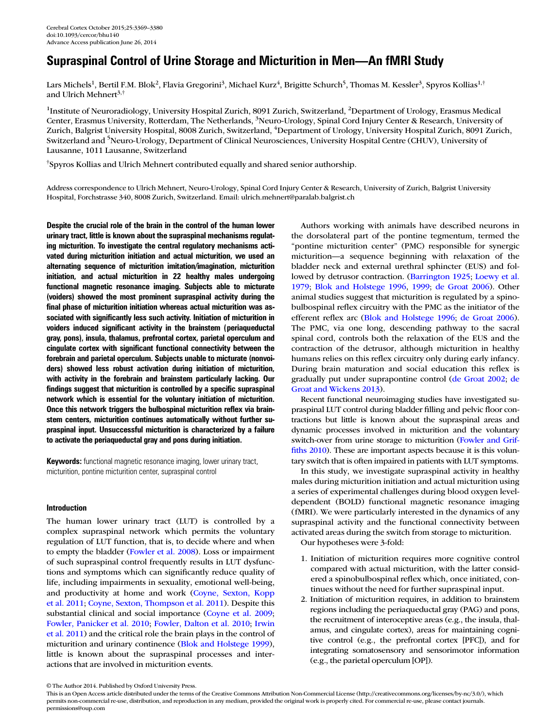# Supraspinal Control of Urine Storage and Micturition in Men—An fMRI Study

Lars Michels<sup>1</sup>, Bertil F.M. Blok<sup>2</sup>, Flavia Gregorini<sup>3</sup>, Michael Kurz<sup>4</sup>, Brigitte Schurch<sup>5</sup>, Thomas M. Kessler<sup>3</sup>, Spyros Kollias<sup>1,†</sup> and Ulrich Mehnert<sup>3,†</sup>

<sup>1</sup>Institute of Neuroradiology, University Hospital Zurich, 8091 Zurich, Switzerland, <sup>2</sup>Department of Urology, Erasmus Medical Center, Erasmus University, Rotterdam, The Netherlands, <sup>3</sup>Neuro-Urology, Spinal Cord Injury Center & Research, University of Zurich, Balgrist University Hospital, 8008 Zurich, Switzerland, <sup>4</sup>Department of Urology, University Hospital Zurich, 8091 Zurich, Switzerland and <sup>5</sup>Neuro-Urology, Department of Clinical Neurosciences, University Hospital Centre (CHUV), University of Lausanne, 1011 Lausanne, Switzerland

† Spyros Kollias and Ulrich Mehnert contributed equally and shared senior authorship.

Address correspondence to Ulrich Mehnert, Neuro-Urology, Spinal Cord Injury Center & Research, University of Zurich, Balgrist University Hospital, Forchstrasse 340, 8008 Zurich, Switzerland. Email: ulrich.mehnert@paralab.balgrist.ch

Despite the crucial role of the brain in the control of the human lower urinary tract, little is known about the supraspinal mechanisms regulating micturition. To investigate the central regulatory mechanisms activated during micturition initiation and actual micturition, we used an alternating sequence of micturition imitation/imagination, micturition initiation, and actual micturition in 22 healthy males undergoing functional magnetic resonance imaging. Subjects able to micturate (voiders) showed the most prominent supraspinal activity during the final phase of micturition initiation whereas actual micturition was associated with significantly less such activity. Initiation of micturition in voiders induced significant activity in the brainstem (periaqueductal gray, pons), insula, thalamus, prefrontal cortex, parietal operculum and cingulate cortex with significant functional connectivity between the forebrain and parietal operculum. Subjects unable to micturate (nonvoiders) showed less robust activation during initiation of micturition, with activity in the forebrain and brainstem particularly lacking. Our findings suggest that micturition is controlled by a specific supraspinal network which is essential for the voluntary initiation of micturition. Once this network triggers the bulbospinal micturition reflex via brainstem centers, micturition continues automatically without further supraspinal input. Unsuccessful micturition is characterized by a failure to activate the periaqueductal gray and pons during initiation.

**Keywords:** functional magnetic resonance imaging, lower urinary tract, micturition, pontine micturition center, supraspinal control

# Introduction

The human lower urinary tract (LUT) is controlled by a complex supraspinal network which permits the voluntary regulation of LUT function, that is, to decide where and when to empty the bladder [\(Fowler et al. 2008\)](#page-10-0). Loss or impairment of such supraspinal control frequently results in LUT dysfunctions and symptoms which can significantly reduce quality of life, including impairments in sexuality, emotional well-being, and productivity at home and work ([Coyne, Sexton, Kopp](#page-10-0) [et al. 2011](#page-10-0); [Coyne, Sexton, Thompson et al. 2011](#page-10-0)). Despite this substantial clinical and social importance ([Coyne et al. 2009;](#page-10-0) [Fowler, Panicker et al. 2010](#page-10-0); [Fowler, Dalton et al. 2010](#page-10-0); [Irwin](#page-10-0) [et al. 2011](#page-10-0)) and the critical role the brain plays in the control of micturition and urinary continence [\(Blok and Holstege 1999](#page-10-0)), little is known about the supraspinal processes and interactions that are involved in micturition events.

Authors working with animals have described neurons in the dorsolateral part of the pontine tegmentum, termed the "pontine micturition center" (PMC) responsible for synergic micturition—a sequence beginning with relaxation of the bladder neck and external urethral sphincter (EUS) and followed by detrusor contraction. ([Barrington 1925](#page-10-0); [Loewy et al.](#page-10-0) [1979](#page-10-0); [Blok and Holstege 1996](#page-10-0), [1999;](#page-10-0) [de Groat 2006\)](#page-10-0). Other animal studies suggest that micturition is regulated by a spinobulbospinal reflex circuitry with the PMC as the initiator of the efferent reflex arc [\(Blok and Holstege 1996;](#page-10-0) [de Groat 2006](#page-10-0)). The PMC, via one long, descending pathway to the sacral spinal cord, controls both the relaxation of the EUS and the contraction of the detrusor, although micturition in healthy humans relies on this reflex circuitry only during early infancy. During brain maturation and social education this reflex is gradually put under suprapontine control ([de Groat 2002;](#page-10-0) [de](#page-10-0) [Groat and Wickens 2013\)](#page-10-0).

Recent functional neuroimaging studies have investigated supraspinal LUT control during bladder filling and pelvic floor contractions but little is known about the supraspinal areas and dynamic processes involved in micturition and the voluntary switch-over from urine storage to micturition [\(Fowler and Grif](#page-10-0)fi[ths 2010\)](#page-10-0). These are important aspects because it is this voluntary switch that is often impaired in patients with LUT symptoms.

In this study, we investigate supraspinal activity in healthy males during micturition initiation and actual micturition using a series of experimental challenges during blood oxygen leveldependent (BOLD) functional magnetic resonance imaging (fMRI). We were particularly interested in the dynamics of any supraspinal activity and the functional connectivity between activated areas during the switch from storage to micturition.

Our hypotheses were 3-fold:

- 1. Initiation of micturition requires more cognitive control compared with actual micturition, with the latter considered a spinobulbospinal reflex which, once initiated, continues without the need for further supraspinal input.
- 2. Initiation of micturition requires, in addition to brainstem regions including the periaqueductal gray (PAG) and pons, the recruitment of interoceptive areas (e.g., the insula, thalamus, and cingulate cortex), areas for maintaining cognitive control (e.g., the prefrontal cortex [PFC]), and for integrating somatosensory and sensorimotor information (e.g., the parietal operculum [OP]).

<sup>©</sup> The Author 2014. Published by Oxford University Press.

This is an Open Access article distributed under the terms of the Creative Commons Attribution Non-Commercial License [\(http://creativecommons.org/licenses/by-nc/3.0/\)](http://creativecommons.org/licenses/by-nc/3.0/), which permits non-commercial re-use, distribution, and reproduction in any medium, provided the original work is properly cited. For commercial re-use, please contact journals. permissions@oup.com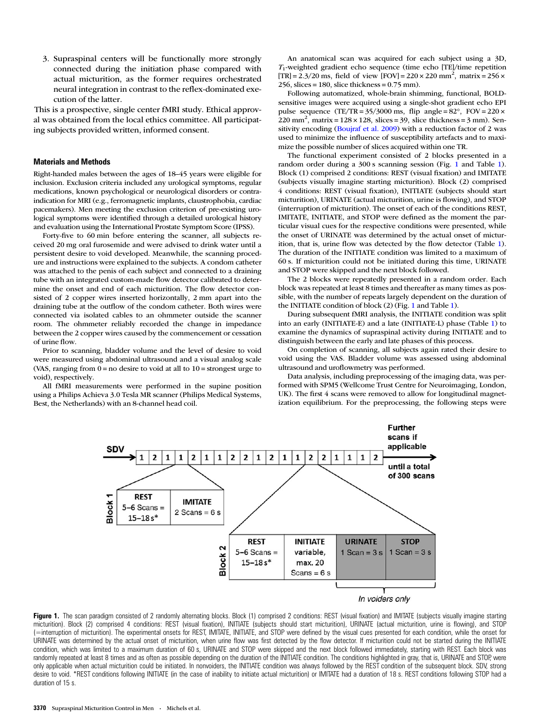3. Supraspinal centers will be functionally more strongly connected during the initiation phase compared with actual micturition, as the former requires orchestrated neural integration in contrast to the reflex-dominated execution of the latter.

This is a prospective, single center fMRI study. Ethical approval was obtained from the local ethics committee. All participating subjects provided written, informed consent.

### Materials and Methods

Right-handed males between the ages of 18–45 years were eligible for inclusion. Exclusion criteria included any urological symptoms, regular medications, known psychological or neurological disorders or contraindication for MRI (e.g., ferromagnetic implants, claustrophobia, cardiac pacemakers). Men meeting the exclusion criterion of pre-existing urological symptoms were identified through a detailed urological history and evaluation using the International Prostate Symptom Score (IPSS).

Forty-five to 60 min before entering the scanner, all subjects received 20 mg oral furosemide and were advised to drink water until a persistent desire to void developed. Meanwhile, the scanning procedure and instructions were explained to the subjects. A condom catheter was attached to the penis of each subject and connected to a draining tube with an integrated custom-made flow detector calibrated to determine the onset and end of each micturition. The flow detector consisted of 2 copper wires inserted horizontally, 2 mm apart into the draining tube at the outflow of the condom catheter. Both wires were connected via isolated cables to an ohmmeter outside the scanner room. The ohmmeter reliably recorded the change in impedance between the 2 copper wires caused by the commencement or cessation of urine flow.

Prior to scanning, bladder volume and the level of desire to void were measured using abdominal ultrasound and a visual analog scale (VAS, ranging from  $0 = no$  desire to void at all to  $10 =$  strongest urge to void), respectively.

All fMRI measurements were performed in the supine position using a Philips Achieva 3.0 Tesla MR scanner (Philips Medical Systems, Best, the Netherlands) with an 8-channel head coil.

An anatomical scan was acquired for each subject using a 3D,  $T_1$ -weighted gradient echo sequence (time echo [TE]/time repetition [TR] =  $2.3/20$  ms, field of view [FOV] =  $220 \times 220$  mm<sup>2</sup>, matrix =  $256 \times$ 256, slices = 180, slice thickness = 0.75 mm).

Following automatized, whole-brain shimming, functional, BOLDsensitive images were acquired using a single-shot gradient echo EPI pulse sequence (TE/TR =  $35/3000$  ms, flip angle =  $82^\circ$ , FOV =  $220 \times$  $220$  mm<sup>2</sup>, matrix =  $128 \times 128$ , slices = 39, slice thickness = 3 mm). Sensitivity encoding ([Boujraf et al. 2009](#page-10-0)) with a reduction factor of 2 was used to minimize the influence of susceptibility artefacts and to maximize the possible number of slices acquired within one TR.

The functional experiment consisted of 2 blocks presented in a random order during a 300 s scanning session (Fig. 1 and Table [1\)](#page-2-0). Block (1) comprised 2 conditions: REST (visual fixation) and IMITATE (subjects visually imagine starting micturition). Block (2) comprised 4 conditions: REST (visual fixation), INITIATE (subjects should start micturition), URINATE (actual micturition, urine is flowing), and STOP (interruption of micturition). The onset of each of the conditions REST, IMITATE, INITIATE, and STOP were defined as the moment the particular visual cues for the respective conditions were presented, while the onset of URINATE was determined by the actual onset of micturition, that is, urine flow was detected by the flow detector (Table [1\)](#page-2-0). The duration of the INITIATE condition was limited to a maximum of 60 s. If micturition could not be initiated during this time, URINATE and STOP were skipped and the next block followed.

The 2 blocks were repeatedly presented in a random order. Each block was repeated at least 8 times and thereafter as many times as possible, with the number of repeats largely dependent on the duration of the INITIATE condition of block (2) (Fig. 1 and Table [1\)](#page-2-0).

During subsequent fMRI analysis, the INITIATE condition was split into an early (INITIATE-E) and a late (INITIATE-L) phase (Table [1](#page-2-0)) to examine the dynamics of supraspinal activity during INITIATE and to distinguish between the early and late phases of this process.

On completion of scanning, all subjects again rated their desire to void using the VAS. Bladder volume was assessed using abdominal ultrasound and uroflowmetry was performed.

Data analysis, including preprocessing of the imaging data, was performed with SPM5 (Wellcome Trust Centre for Neuroimaging, London, UK). The first 4 scans were removed to allow for longitudinal magnetization equilibrium. For the preprocessing, the following steps were



Figure 1. The scan paradigm consisted of 2 randomly alternating blocks. Block (1) comprised 2 conditions: REST (visual fixation) and IMITATE (subjects visually imagine starting micturition). Block (2) comprised 4 conditions: REST (visual fixation), INITIATE (subjects should start micturition), URINATE (actual micturition, urine is flowing), and STOP (=interruption of micturition). The experimental onsets for REST, IMITATE, INITIATE, and STOP were defined by the visual cues presented for each condition, while the onset for URINATE was determined by the actual onset of micturition, when urine flow was first detected by the flow detector. If micturition could not be started during the INITIATE condition, which was limited to a maximum duration of 60 s, URINATE and STOP were skipped and the next block followed immediately, starting with REST. Each block was randomly repeated at least 8 times and as often as possible depending on the duration of the INITIATE condition. The conditions highlighted in gray, that is, URINATE and STOP, were only applicable when actual micturition could be initiated. In nonvoiders, the INITIATE condition was always followed by the REST condition of the subsequent block. SDV, strong desire to void. \*REST conditions following INITIATE (in the case of inability to initiate actual micturition) or IMITATE had a duration of 18 s. REST conditions following STOP had a duration of 15 s.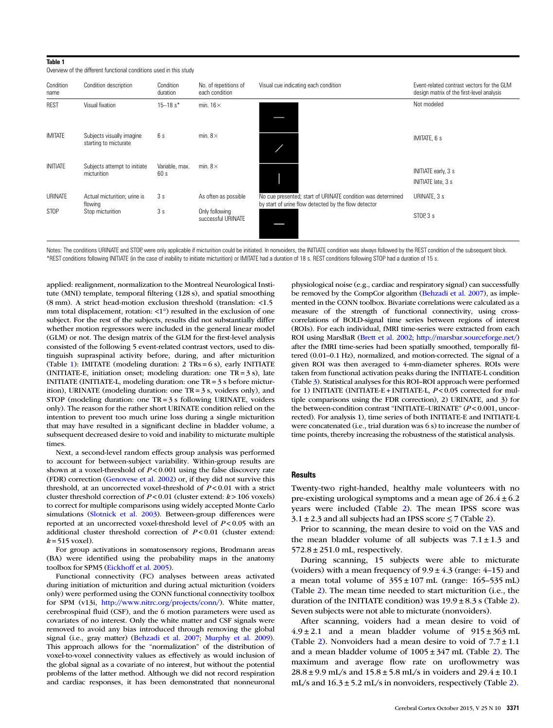#### Overview of the different functional conditions used in this study Condition name Condition description Condition duration No. of repetitions of each condition Visual cue indicating each condition Event-related contrast vectors for the GLM design matrix of the first-level analysis REST Visual fixation 15–18 s\* min. 16 $\times$  Not modeled IMITATE Subjects visually imagine starting to micturate 6 s min. 8 $\times$ INITIATE Subjects attempt to initiate micturition Variable, max.  $60<sub>s</sub>$ min.  $8\times$ INITIATE early, 3 s INITIATE late, 3 s URINATE Actual micturition; urine is flowing 3 s As often as possible No cue presented; start of URINATE condition was determined by start of urine flow detected by the flow detector URINATE, 3 s STOP Stop micturition 3 s Only following successful URINATE<br>successful URINATE

Notes: The conditions URINATE and STOP, were only applicable if micturition could be initiated. In nonvoiders, the INITIATE condition was always followed by the REST condition of the subsequent block. \*REST conditions following INITIATE (in the case of inability to initiate micturition) or IMITATE had a duration of 18 s. REST conditions following STOP had a duration of 15 s.

applied: realignment, normalization to the Montreal Neurological Institute (MNI) template, temporal filtering (128 s), and spatial smoothing (8 mm). A strict head-motion exclusion threshold (translation: <1.5 mm total displacement, rotation: <1°) resulted in the exclusion of one subject. For the rest of the subjects, results did not substantially differ whether motion regressors were included in the general linear model (GLM) or not. The design matrix of the GLM for the first-level analysis consisted of the following 5 event-related contrast vectors, used to distinguish supraspinal activity before, during, and after micturition (Table 1): IMITATE (modeling duration: 2 TRs = 6 s), early INITIATE (INITIATE-E, initiation onset; modeling duration: one  $TR = 3 s$ ), late INITIATE (INITIATE-L, modeling duration: one TR = 3 s before micturition), URINATE (modeling duration: one TR = 3 s, voiders only), and STOP (modeling duration: one TR = 3 s following URINATE, voiders only). The reason for the rather short URINATE condition relied on the intention to prevent too much urine loss during a single micturition that may have resulted in a significant decline in bladder volume, a subsequent decreased desire to void and inability to micturate multiple times.

<span id="page-2-0"></span>Table 1

Next, a second-level random effects group analysis was performed to account for between-subject variability. Within-group results are shown at a voxel-threshold of  $P < 0.001$  using the false discovery rate (FDR) correction ([Genovese et al. 2002](#page-10-0)) or, if they did not survive this threshold, at an uncorrected voxel-threshold of  $P < 0.01$  with a strict cluster threshold correction of  $P < 0.01$  (cluster extend:  $k > 106$  voxels) to correct for multiple comparisons using widely accepted Monte Carlo simulations ([Slotnick et al. 2003\)](#page-11-0). Between-group differences were reported at an uncorrected voxel-threshold level of  $P < 0.05$  with an additional cluster threshold correction of  $P < 0.01$  (cluster extend:  $k = 515$  voxel).

For group activations in somatosensory regions, Brodmann areas (BA) were identified using the probability maps in the anatomy toolbox for SPM5 ([Eickhoff et al. 2005](#page-10-0)).

Functional connectivity (FC) analyses between areas activated during initiation of micturition and during actual micturition (voiders only) were performed using the CONN functional connectivity toolbox for SPM (v13i, [http://www.nitrc.org/projects/conn/\)](http://www.nitrc.org/projects/conn/). White matter, cerebrospinal fluid (CSF), and the 6 motion parameters were used as covariates of no interest. Only the white matter and CSF signals were removed to avoid any bias introduced through removing the global signal (i.e., gray matter) ([Behzadi et al. 2007](#page-10-0); [Murphy et al. 2009\)](#page-10-0). This approach allows for the "normalization" of the distribution of voxel-to-voxel connectivity values as effectively as would inclusion of the global signal as a covariate of no interest, but without the potential problems of the latter method. Although we did not record respiration and cardiac responses, it has been demonstrated that nonneuronal

physiological noise (e.g., cardiac and respiratory signal) can successfully be removed by the CompCor algorithm [\(Behzadi et al. 2007](#page-10-0)), as implemented in the CONN toolbox. Bivariate correlations were calculated as a measure of the strength of functional connectivity, using crosscorrelations of BOLD-signal time series between regions of interest (ROIs). For each individual, fMRI time-series were extracted from each ROI using MarsBaR ([Brett et al. 2002;](#page-10-0) <http://marsbar.sourceforge.net/>) after the fMRI time-series had been spatially smoothed, temporally filtered (0.01–0.1 Hz), normalized, and motion-corrected. The signal of a given ROI was then averaged to 4-mm-diameter spheres. ROIs were taken from functional activation peaks during the INITIATE-L condition (Table [3\)](#page-4-0). Statistical analyses for this ROI–ROI approach were performed for 1) INITIATE (INITIATE-E + INITIATE-L,  $P < 0.05$  corrected for multiple comparisons using the FDR correction), 2) URINATE, and 3) for the between-condition contrast "INITIATE–URINATE" (P < 0.001, uncorrected). For analysis 1), time series of both INITIATE-E and INITIATE-L were concatenated (i.e., trial duration was 6 s) to increase the number of time points, thereby increasing the robustness of the statistical analysis.

### **Results**

Twenty-two right-handed, healthy male volunteers with no pre-existing urological symptoms and a mean age of  $26.4 \pm 6.2$ years were included (Table [2\)](#page-3-0). The mean IPSS score was  $3.1 \pm 2.3$  $3.1 \pm 2.3$  $3.1 \pm 2.3$  and all subjects had an IPSS score  $\leq 7$  (Table 2).

Prior to scanning, the mean desire to void on the VAS and the mean bladder volume of all subjects was  $7.1 \pm 1.3$  and  $572.8 \pm 251.0$  mL, respectively.

During scanning, 15 subjects were able to micturate (voiders) with a mean frequency of  $9.9 \pm 4.3$  (range: 4–15) and a mean total volume of  $355 \pm 107$  mL (range:  $165-535$  mL) (Table [2\)](#page-3-0). The mean time needed to start micturition (i.e., the duration of the INITIATE condition) was  $19.9 \pm 8.3$  s (Table [2](#page-3-0)). Seven subjects were not able to micturate (nonvoiders).

After scanning, voiders had a mean desire to void of  $4.9 \pm 2.1$  and a mean bladder volume of  $915 \pm 363$  mL (Table [2](#page-3-0)). Nonvoiders had a mean desire to void of  $7.7 \pm 1.1$ and a mean bladder volume of  $1005 \pm 347$  mL (Table [2\)](#page-3-0). The maximum and average flow rate on uroflowmetry was  $28.8 \pm 9.9$  mL/s and  $15.8 \pm 5.8$  mL/s in voiders and  $29.4 \pm 10.1$ mL/s and  $16.3 \pm 5.2$  $16.3 \pm 5.2$  mL/s in nonvoiders, respectively (Table 2).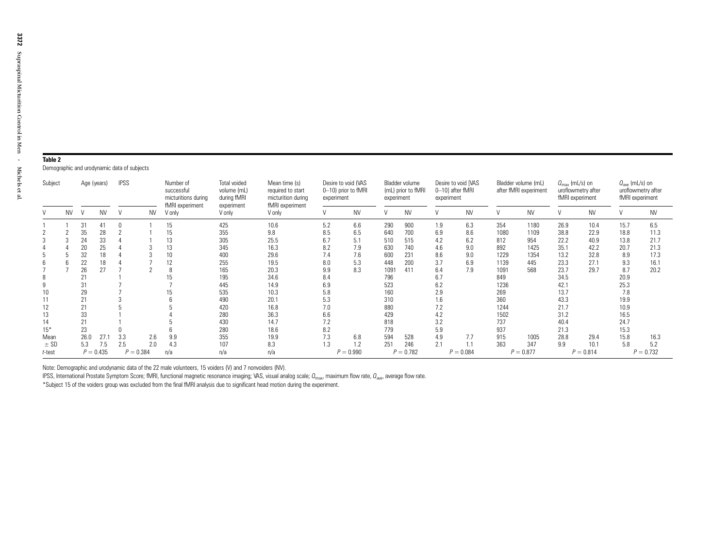# <span id="page-3-0"></span>Table 2

Demographic and urodynamic data of subjects

| Subject   |           | Age (years) |             | <b>IPSS</b> |     | Number of<br>successful<br>micturitions during<br>fMRI experiment | Total voided<br>volume (mL)<br>during fMRI<br>experiment | Mean time (s)<br>required to start<br>micturition during<br>fMRI experiment | Desire to void (VAS<br>0-10) prior to fMRI<br>experiment |             | Bladder volume<br>(mL) prior to fMRI<br>experiment |             | Desire to void IVAS<br>0-10] after fMRI<br>experiment |             | Bladder volume (mL)<br>after fMRI experiment |             | $Q_{\text{max}}$ (mL/s) on<br>uroflowmetry after<br>fMRI experiment |             | $Q_{\text{ave}}$ (mL/s) on<br>uroflowmetry after<br>fMRI experiment |             |
|-----------|-----------|-------------|-------------|-------------|-----|-------------------------------------------------------------------|----------------------------------------------------------|-----------------------------------------------------------------------------|----------------------------------------------------------|-------------|----------------------------------------------------|-------------|-------------------------------------------------------|-------------|----------------------------------------------|-------------|---------------------------------------------------------------------|-------------|---------------------------------------------------------------------|-------------|
|           | <b>NV</b> |             | <b>NV</b>   |             | NV  | V only                                                            | V only                                                   | V only                                                                      | $\mathcal{U}$                                            | <b>NV</b>   |                                                    | <b>NV</b>   |                                                       | <b>NV</b>   |                                              | <b>NV</b>   |                                                                     | <b>NV</b>   |                                                                     | <b>NV</b>   |
|           |           | 31          | 41          |             |     | 15                                                                | 425                                                      | 10.6                                                                        | 5.2                                                      | 6.6         | 290                                                | 900         | 1.9                                                   | 6.3         | 354                                          | 1180        | 26.9                                                                | 10.4        | 15.7                                                                | 6.5         |
|           |           | 35          | 28          |             |     | 15                                                                | 355                                                      | 9.8                                                                         | 8.5                                                      | 6.5         | 640                                                | 700         | 6.9                                                   | 8.6         | 1080                                         | 1109        | 38.8                                                                | 22.9        | 18.8                                                                | 11.3        |
|           |           | 24          | 33          |             |     | 13                                                                | 305                                                      | 25.5                                                                        | 6.7                                                      | 5.1         | 510                                                | 515         | 4.2                                                   | 6.2         | 812                                          | 954         | 22.2                                                                | 40.9        | 13.8                                                                | 21.7        |
|           |           | 20          | 25          |             |     | 13                                                                | 345                                                      | 16.3                                                                        | 8.2                                                      | 7.9         | 630                                                | 740         | 4.6                                                   | 9.0         | 892                                          | 1425        | 35.1                                                                | 42.2        | 20.7                                                                | 21.3        |
|           |           | 32          | 18          |             |     | 10                                                                | 400                                                      | 29.6                                                                        | 7.4                                                      | 7.6         | 600                                                | 231         | 8.6                                                   | 9.0         | 1229                                         | 1354        | 13.2                                                                | 32.8        | 8.9                                                                 | 17.3        |
|           |           | 22          | 18          |             |     | 12                                                                | 255                                                      | 19.5                                                                        | 8.0                                                      | 5.3         | 448                                                | 200         | 3.7                                                   | 6.9         | 1139                                         | 445         | 23.3                                                                | 27.1        | 9.3                                                                 | 16.1        |
|           |           | 26          | 27          |             |     |                                                                   | 165                                                      | 20.3                                                                        | 9.9                                                      | 8.3         | 1091                                               | 411         | 6.4                                                   | 7.9         | 1091                                         | 568         | 23.7                                                                | 29.7        | 8.7                                                                 | 20.2        |
|           |           | 21          |             |             |     |                                                                   | 195                                                      | 34.6                                                                        | 8.4                                                      |             | 796                                                |             | 6.7                                                   |             | 849                                          |             | 34.5                                                                |             | 20.9                                                                |             |
|           |           | 31          |             |             |     |                                                                   | 445                                                      | 14.9                                                                        | 6.9                                                      |             | 523                                                |             | 6.2                                                   |             | 1236                                         |             | 42.1                                                                |             | 25.3                                                                |             |
| 10        |           | 29          |             |             |     |                                                                   | 535                                                      | 10.3                                                                        | 5.8                                                      |             | 160                                                |             | 2.9                                                   |             | 269                                          |             | 13.7                                                                |             | 7.8                                                                 |             |
| 11        |           | 21          |             |             |     |                                                                   | 490                                                      | 20.1                                                                        | 5.3                                                      |             | 310                                                |             | 1.6                                                   |             | 360                                          |             | 43.3                                                                |             | 19.9                                                                |             |
| 12        |           | 21          |             |             |     |                                                                   | 420                                                      | 16.8                                                                        | 7.0                                                      |             | 880                                                |             | 7.2                                                   |             | 1244                                         |             | 21.7                                                                |             | 10.9                                                                |             |
| 13        |           | 33          |             |             |     |                                                                   | 280                                                      | 36.3                                                                        | 6.6                                                      |             | 429                                                |             | 4.2                                                   |             | 1502                                         |             | 31.2                                                                |             | 16.5                                                                |             |
| 14        |           | 21          |             |             |     |                                                                   | 430                                                      | 14.7                                                                        | 7.2                                                      |             | 818                                                |             | 3.2                                                   |             | 737                                          |             | 40.4                                                                |             | 24.7                                                                |             |
| $15*$     |           | 23          |             |             |     |                                                                   | 280                                                      | 18.6                                                                        | 8.2                                                      |             | 779                                                |             | 5.9                                                   |             | 937                                          |             | 21.3                                                                |             | 15.3                                                                |             |
| Mean      |           | 26.0        | 27.1        | 3.3         | 2.6 | 9.9                                                               | 355                                                      | 19.9                                                                        | 7.3                                                      | 6.8         | 594                                                | 528         | 4.9                                                   | 7.7         | 915                                          | 1005        | 28.8                                                                | 29.4        | 15.8                                                                | 16.3        |
| $±$ SD    |           | 5.3         | 7.5         | 2.5         | 2.0 | 4.3                                                               | 107                                                      | 8.3                                                                         | 1.3                                                      | 1.2         | 251                                                | 246         | 2.1                                                   | 1.1         | 363                                          | 347         | 9.9                                                                 | 10.1        | 5.8                                                                 | 5.2         |
| $t$ -test |           |             | $P = 0.435$ | $P = 0.384$ |     | n/a                                                               | n/a                                                      | n/a                                                                         |                                                          | $P = 0.990$ |                                                    | $P = 0.782$ |                                                       | $P = 0.084$ |                                              | $P = 0.877$ |                                                                     | $P = 0.814$ |                                                                     | $P = 0.732$ |

Note: Demographic and urodynamic data of the 22 male volunteers, 15 voiders (V) and 7 nonvoiders (NV).

IPSS, International Prostate Symptom Score; fMRI, functional magnetic resonance imaging; VAS, visual analog scale;  $Q_{\rm max}$ , maximum flow rate,  $Q_{\rm ave}$ , average flow rate.

\*Subject 15 of the voiders group was excluded from the final fMRI analysis due to significant head motion during the experiment.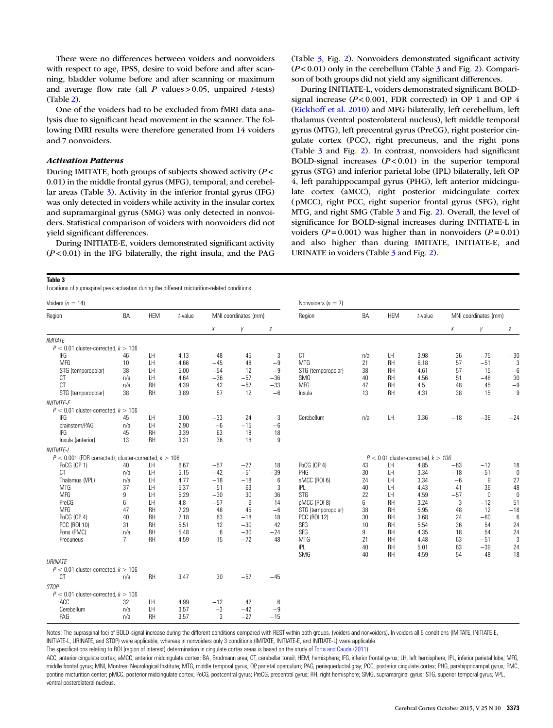<span id="page-4-0"></span>There were no differences between voiders and nonvoiders with respect to age, IPSS, desire to void before and after scanning, bladder volume before and after scanning or maximum and average flow rate (all  $P$  values > 0.05, unpaired *t*-tests) (Table [2](#page-3-0)).

One of the voiders had to be excluded from fMRI data analysis due to significant head movement in the scanner. The following fMRI results were therefore generated from 14 voiders and 7 nonvoiders.

# Activation Patterns

During IMITATE, both groups of subjects showed activity (P < 0.01) in the middle frontal gyrus (MFG), temporal, and cerebellar areas (Table 3). Activity in the inferior frontal gyrus (IFG) was only detected in voiders while activity in the insular cortex and supramarginal gyrus (SMG) was only detected in nonvoiders. Statistical comparison of voiders with nonvoiders did not yield significant differences.

During INITIATE-E, voiders demonstrated significant activity  $(P<0.01)$  in the IFG bilaterally, the right insula, and the PAG

(Table 3, Fig. [2](#page-5-0)). Nonvoiders demonstrated significant activity  $(P<0.01)$  only in the cerebellum (Table 3 and Fig. [2](#page-5-0)). Comparison of both groups did not yield any significant differences.

During INITIATE-L, voiders demonstrated significant BOLDsignal increase  $(P< 0.001$ , FDR corrected) in OP 1 and OP 4 [\(Eickhoff et al. 2010](#page-10-0)) and MFG bilaterally, left cerebellum, left thalamus (ventral posterolateral nucleus), left middle temporal gyrus (MTG), left precentral gyrus (PreCG), right posterior cingulate cortex (PCC), right precuneus, and the right pons (Table 3 and Fig. [2](#page-5-0)). In contrast, nonvoiders had significant BOLD-signal increases  $(P < 0.01)$  in the superior temporal gyrus (STG) and inferior parietal lobe (IPL) bilaterally, left OP 4, left parahippocampal gyrus (PHG), left anterior midcingulate cortex (aMCC), right posterior midcingulate cortex (pMCC), right PCC, right superior frontal gyrus (SFG), right MTG, and right SMG (Table 3 and Fig. [2](#page-5-0)). Overall, the level of significance for BOLD-signal increases during INITIATE-L in voiders ( $P = 0.001$ ) was higher than in nonvoiders ( $P = 0.01$ ) and also higher than during IMITATE, INITIATE-E, and URINATE in voiders (Table 3 and Fig. [2](#page-5-0)).

#### Table 3

Locations of supraspinal peak activation during the different micturition-related conditions

| Voiders $(n = 14)$                                                       |                |            |            |                  |                      |       | Nonvoiders $(n = 7)$ |           |            |                                         |                      |       |                  |
|--------------------------------------------------------------------------|----------------|------------|------------|------------------|----------------------|-------|----------------------|-----------|------------|-----------------------------------------|----------------------|-------|------------------|
| Region                                                                   | <b>BA</b>      | <b>HEM</b> | $t$ -value |                  | MNI coordinates (mm) |       | Region               | <b>BA</b> | <b>HEM</b> | $t$ -value                              | MNI coordinates (mm) |       |                  |
|                                                                          |                |            |            | Х                | y                    | Z     |                      |           |            |                                         | Х                    | y     | $\boldsymbol{Z}$ |
| <b>IMITATE</b>                                                           |                |            |            |                  |                      |       |                      |           |            |                                         |                      |       |                  |
| $P < 0.01$ cluster-corrected, $k > 106$                                  |                |            |            |                  |                      |       |                      |           |            |                                         |                      |       |                  |
| IFG                                                                      | 46             | LH         | 4.13       | $-48$            | 45                   | 3     | <b>CT</b>            | n/a       | LH         | 3.98                                    | $-36$                | $-75$ | $-30$            |
| <b>MFG</b>                                                               | 10             | LH         | 4.66       | $-45$            | 48                   | $-9$  | <b>MTG</b>           | 21        | <b>RH</b>  | 6.18                                    | 57                   | $-51$ | 3                |
| STG (temporopolar)                                                       | 38             | LH         | 5.00       | $-54$            | 12                   | $-9$  | STG (temporopolar)   | 38        | RH         | 4.61                                    | 57                   | 15    | $-6$             |
| <b>CT</b>                                                                | n/a            | LH         | 4.64       | $-36$            | $-57$                | $-36$ | <b>SMG</b>           | 40        | <b>RH</b>  | 4.56                                    | 51                   | $-48$ | 30               |
| <b>CT</b>                                                                | n/a            | <b>RH</b>  | 4.39       | 42               | $-57$                | $-33$ | <b>MFG</b>           | 47        | <b>RH</b>  | 4.5                                     | 48                   | 45    | $-9$             |
| STG (temporopolar)                                                       | 38             | <b>RH</b>  | 3.89       | 57               | 12                   | $-6$  | Insula               | 13        | RH         | 4.31                                    | 38                   | 15    | 9                |
| <b>INITIATE-E</b>                                                        |                |            |            |                  |                      |       |                      |           |            |                                         |                      |       |                  |
| $P < 0.01$ cluster-corrected, $k > 106$                                  |                |            |            |                  |                      |       |                      |           |            |                                         |                      |       |                  |
| IFG                                                                      | 45             | LH         | 3.00       | $-33$            | 24                   | 3     | Cerebellum           | n/a       | LH         | 3.36                                    | $-18$                | $-36$ | $-24$            |
| brainstem/PAG                                                            | n/a            | LH         | 2.90       | $-6$             | $-15$                | $-6$  |                      |           |            |                                         |                      |       |                  |
| IFG                                                                      | 45             | RH         | 3.39       | 63               | 18                   | 18    |                      |           |            |                                         |                      |       |                  |
| Insula (anterior)                                                        | 13             | <b>RH</b>  | 3.31       | 36               | 18                   | 9     |                      |           |            |                                         |                      |       |                  |
|                                                                          |                |            |            |                  |                      |       |                      |           |            |                                         |                      |       |                  |
| <b>INITIATE-L</b>                                                        |                |            |            |                  |                      |       |                      |           |            | $P < 0.01$ cluster-corrected, $k > 106$ |                      |       |                  |
| $P < 0.001$ (FDR corrected), cluster-corrected, $k > 106$<br>PoCG (OP 1) | 40             | LH         | 6.67       | $-57$            | $-27$                | 18    | PoCG (OP 4)          |           | LH         | 4.85                                    | $-63$                | $-12$ |                  |
| <b>CT</b>                                                                |                | LH         | 5.15       | $-42$            | $-51$                |       | PHG                  | 43        | LH         |                                         |                      |       | 18               |
|                                                                          | n/a            |            |            |                  |                      | $-39$ |                      | 30        |            | 3.34                                    | $-18$                | $-51$ | $\mathbf{0}$     |
| Thalamus (VPL)                                                           | n/a            | LH         | 4.77       | $-18$            | $-18$                | 6     | aMCC (ROI 6)         | 24        | LH         | 3.34                                    | $-6$                 | 9     | 27               |
| <b>MTG</b>                                                               | 37             | LH         | 5.37       | $-51$            | $-63$                | 3     | IPL                  | 40        | LH         | 4.43                                    | $-41$                | $-36$ | 48               |
| <b>MFG</b>                                                               | 9              | LH         | 5.29       | $-30$            | 30                   | 36    | <b>STG</b>           | 22        | LH         | 4.59                                    | $-57$                | 0     | 0                |
| PreCG                                                                    | 6              | LH         | 4.8        | $-57$            | 6                    | 14    | pMCC (ROI 8)         | 6         | <b>RH</b>  | 3.24                                    | 3                    | $-12$ | 51               |
| <b>MFG</b>                                                               | 47             | <b>RH</b>  | 7.29       | 48               | 45                   | $-6$  | STG (temporopolar)   | 38        | <b>RH</b>  | 5.95                                    | 48                   | 12    | $-18$            |
| PoCG (OP 4)                                                              | 40             | RH         | 7.18       | 63               | $-18$                | 18    | <b>PCC (ROI 12)</b>  | 30        | <b>RH</b>  | 3.68                                    | 24                   | $-60$ | 6                |
| PCC (ROI 10)                                                             | 31             | <b>RH</b>  | 5.51       | 12               | $-30$                | 42    | SFG                  | 10        | <b>RH</b>  | 5.54                                    | 36                   | 54    | 24               |
| Pons (PMC)                                                               | n/a            | <b>RH</b>  | 5.48       | $\boldsymbol{6}$ | $-30$                | $-24$ | SFG                  | 9         | <b>RH</b>  | 4.35                                    | 18                   | 54    | 24               |
| Precuneus                                                                | $\overline{7}$ | RH         | 4.59       | 15               | $-72$                | 48    | <b>MTG</b>           | 21        | <b>RH</b>  | 4.48                                    | 63                   | $-51$ | 3                |
|                                                                          |                |            |            |                  |                      |       | <b>IPL</b>           | 40        | <b>RH</b>  | 5.01                                    | 63                   | $-39$ | 24               |
|                                                                          |                |            |            |                  |                      |       | SMG                  | 40        | RH         | 4.59                                    | 54                   | $-48$ | 18               |
| URINATE                                                                  |                |            |            |                  |                      |       |                      |           |            |                                         |                      |       |                  |
| $P < 0.01$ cluster-corrected, $k > 106$                                  |                |            |            |                  |                      |       |                      |           |            |                                         |                      |       |                  |
| <b>CT</b>                                                                | n/a            | RH         | 3.47       | 30               | $-57$                | $-45$ |                      |           |            |                                         |                      |       |                  |
| STOP                                                                     |                |            |            |                  |                      |       |                      |           |            |                                         |                      |       |                  |
| $P < 0.01$ cluster-corrected, $k > 106$                                  |                |            |            |                  |                      |       |                      |           |            |                                         |                      |       |                  |
| ACC                                                                      | 32             | LH         | 4.99       | $-12$            | 42                   | 6     |                      |           |            |                                         |                      |       |                  |
| Cerebellum                                                               | n/a            | LH         | 3.57       | $-3$             | $-42$                | $-9$  |                      |           |            |                                         |                      |       |                  |
| PAG                                                                      | n/a            | <b>RH</b>  | 3.57       | 3                | $-27$                | $-15$ |                      |           |            |                                         |                      |       |                  |

Notes: The supraspinal foci of BOLD-signal increase during the different conditions compared with REST within both groups, (voiders and nonvoiders). In voiders all 5 conditions (IMITATE, INITIATE-E, INITIATE-L, URINATE, and STOP) were applicable, whereas in nonvoiders only 3 conditions (IMITATE, INITIATE-E, and INITIATE-L) were applicable.

The specifications relating to ROI (region of interest) determination in cingulate cortex areas is based on the study of [Torta and Cauda \(2011\).](#page-11-0)

ACC, anterior cingulate cortex; aMCC, anterior midcingulate cortex; BA, Brodmann area; CT, cerebellar tonsil; HEM, hemisphere; IFG, inferior frontal gyrus; LH, left hemisphere; IPL, inferior parietal lobe; MFG, middle frontal gyrus; MNI, Montreal Neurological Institute; MTG, middle temporal gyrus; OP, parietal operculum; PAG, periaqueductal gray; PCC, posterior cingulate cortex; PHG, parahippocampal gyrus; PMC, pontine micturition center; pMCC, posterior midcingulate cortex; PoCG, postcentral gyrus; PreCG, precentral gyrus; RH, right hemisphere; SMG, supramarginal gyrus; STG, superior temporal gyrus; VPL, ventral posterolateral nucleus.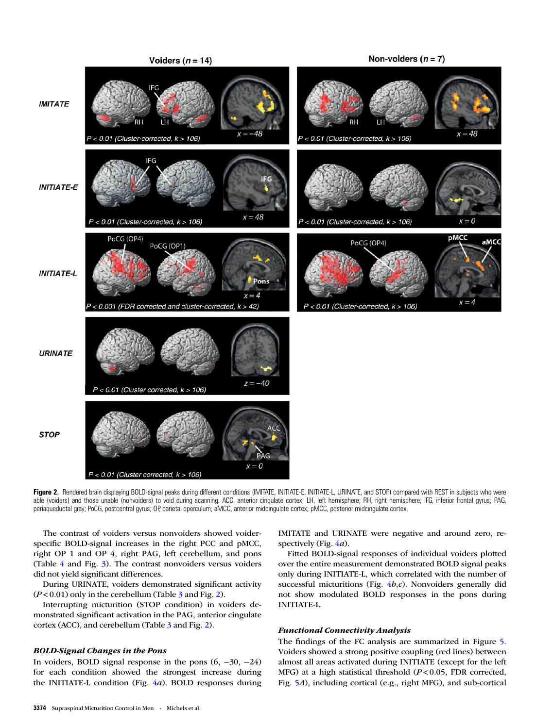<span id="page-5-0"></span>

Figure 2. Rendered brain displaying BOLD-signal peaks during different conditions (IMITATE, INITIATE-L, URINATE, and STOP) compared with REST in subjects who were able (voiders) and those unable (nonvoiders) to void during scanning. ACC, anterior cingulate cortex; LH, left hemisphere; RH, right hemisphere; IFG, inferior frontal gyrus; PAG, periaqueductal gray; PoCG, postcentral gyrus; OP, parietal operculum; aMCC, anterior midcingulate cortex; pMCC, posterior midcingulate cortex.

The contrast of voiders versus nonvoiders showed voiderspecific BOLD-signal increases in the right PCC and pMCC, right OP 1 and OP 4, right PAG, left cerebellum, and pons (Table [4](#page-6-0) and Fig. [3\)](#page-6-0). The contrast nonvoiders versus voiders did not yield significant differences.

During URINATE, voiders demonstrated significant activity  $(P<0.01)$  only in the cerebellum (Table [3](#page-4-0) and Fig. 2).

Interrupting micturition (STOP condition) in voiders demonstrated significant activation in the PAG, anterior cingulate cortex (ACC), and cerebellum (Table [3](#page-4-0) and Fig. 2).

# BOLD-Signal Changes in the Pons

In voiders, BOLD signal response in the pons (6, −30, −24) for each condition showed the strongest increase during the INITIATE-L condition (Fig.  $4a$  $4a$ ). BOLD responses during IMITATE and URINATE were negative and around zero, respectively (Fig.  $4a$  $4a$ ).

Fitted BOLD-signal responses of individual voiders plotted over the entire measurement demonstrated BOLD signal peaks only during INITIATE-L, which correlated with the number of successful micturitions (Fig.  $4b$  $4b$ ,c). Nonvoiders generally did not show modulated BOLD responses in the pons during INITIATE-L.

# Functional Connectivity Analysis

The findings of the FC analysis are summarized in Figure [5](#page-8-0). Voiders showed a strong positive coupling (red lines) between almost all areas activated during INITIATE (except for the left MFG) at a high statistical threshold  $(P< 0.05,$  FDR corrected, Fig. [5](#page-8-0)A), including cortical (e.g., right MFG), and sub-cortical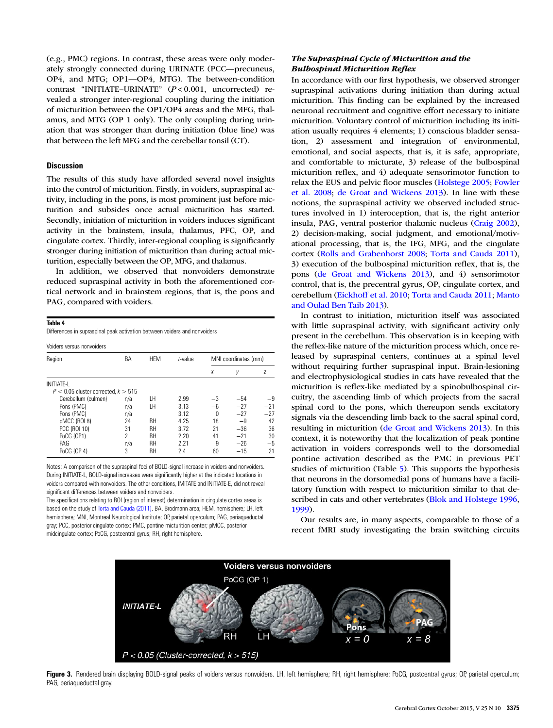<span id="page-6-0"></span>(e.g., PMC) regions. In contrast, these areas were only moderately strongly connected during URINATE (PCC—precuneus, OP4, and MTG; OP1—OP4, MTG). The between-condition contrast "INITIATE-URINATE" (P<0.001, uncorrected) revealed a stronger inter-regional coupling during the initiation of micturition between the OP1/OP4 areas and the MFG, thalamus, and MTG (OP 1 only). The only coupling during urination that was stronger than during initiation (blue line) was that between the left MFG and the cerebellar tonsil (CT).

# **Discussion**

The results of this study have afforded several novel insights into the control of micturition. Firstly, in voiders, supraspinal activity, including in the pons, is most prominent just before micturition and subsides once actual micturition has started. Secondly, initiation of micturition in voiders induces significant activity in the brainstem, insula, thalamus, PFC, OP, and cingulate cortex. Thirdly, inter-regional coupling is significantly stronger during initiation of micturition than during actual micturition, especially between the OP, MFG, and thalamus.

In addition, we observed that nonvoiders demonstrate reduced supraspinal activity in both the aforementioned cortical network and in brainstem regions, that is, the pons and PAG, compared with voiders.

### Table 4

Differences in supraspinal peak activation between voiders and nonvoiders

Voiders versus nonvoiders

| Region                                  | BA                       | <b>HEM</b> | $t$ -value | MNI coordinates (mm) |       |       |  |  |
|-----------------------------------------|--------------------------|------------|------------|----------------------|-------|-------|--|--|
|                                         |                          |            |            | X                    | γ     | Z     |  |  |
| <b>INITIATE-L</b>                       |                          |            |            |                      |       |       |  |  |
| $P < 0.05$ cluster corrected, $k > 515$ |                          |            |            |                      |       |       |  |  |
| Cerebellum (culmen)                     | n/a                      | LΗ         | 2.99       | $-3$                 | $-54$ | $-9$  |  |  |
| Pons (PMC)                              | n/a                      | LΗ         | 3.13       | $-6$                 | $-27$ | $-21$ |  |  |
| Pons (PMC)                              | n/a                      |            | 3.12       | 0                    | $-27$ | $-27$ |  |  |
| pMCC (ROI 8)                            | 24                       | RH         | 4.25       | 18                   | $-9$  | 42    |  |  |
| PCC (ROI 10)                            | 31                       | RH         | 3.72       | 21                   | $-36$ | 36    |  |  |
| PoCG (OP1)                              | $\overline{\phantom{a}}$ | RH         | 2.20       | 41                   | $-21$ | 30    |  |  |
| PAG                                     | n/a                      | RH         | 2.21       | 9                    | $-26$ | $-5$  |  |  |
| PoCG (OP 4)                             | 3                        | RH         | 2.4        | 60                   | $-15$ | 21    |  |  |

Notes: A comparison of the supraspinal foci of BOLD-signal increase in voiders and nonvoiders. During INITIATE-L, BOLD-signal increases were significantly higher at the indicated locations in voiders compared with nonvoiders. The other conditions, IMITATE and INITIATE-E, did not reveal significant differences between voiders and nonvoiders.

The specifications relating to ROI (region of interest) determination in cingulate cortex areas is based on the study of [Torta and Cauda \(2011\).](#page-11-0) BA, Brodmann area; HEM, hemisphere; LH, left hemisphere; MNI, Montreal Neurological Institute; OP, parietal operculum; PAG, periaqueductal gray; PCC, posterior cingulate cortex; PMC, pontine micturition center; pMCC, posterior midcingulate cortex; PoCG, postcentral gyrus; RH, right hemisphere.

# The Supraspinal Cycle of Micturition and the Bulbospinal Micturition Reflex

In accordance with our first hypothesis, we observed stronger supraspinal activations during initiation than during actual micturition. This finding can be explained by the increased neuronal recruitment and cognitive effort necessary to initiate micturition. Voluntary control of micturition including its initiation usually requires 4 elements; 1) conscious bladder sensation, 2) assessment and integration of environmental, emotional, and social aspects, that is, it is safe, appropriate, and comfortable to micturate, 3) release of the bulbospinal micturition reflex, and 4) adequate sensorimotor function to relax the EUS and pelvic floor muscles [\(Holstege 2005](#page-10-0); [Fowler](#page-10-0) [et al. 2008](#page-10-0); [de Groat and Wickens 2013\)](#page-10-0). In line with these notions, the supraspinal activity we observed included structures involved in 1) interoception, that is, the right anterior insula, PAG, ventral posterior thalamic nucleus [\(Craig 2002](#page-10-0)), 2) decision-making, social judgment, and emotional/motivational processing, that is, the IFG, MFG, and the cingulate cortex [\(Rolls and Grabenhorst 2008;](#page-10-0) [Torta and Cauda 2011](#page-11-0)), 3) execution of the bulbospinal micturition reflex, that is, the pons [\(de Groat and Wickens 2013](#page-10-0)), and 4) sensorimotor control, that is, the precentral gyrus, OP, cingulate cortex, and cerebellum [\(Eickhoff et al. 2010;](#page-10-0) [Torta and Cauda 2011;](#page-11-0) [Manto](#page-10-0) [and Oulad Ben Taib 2013](#page-10-0)).

In contrast to initiation, micturition itself was associated with little supraspinal activity, with significant activity only present in the cerebellum. This observation is in keeping with the reflex-like nature of the micturition process which, once released by supraspinal centers, continues at a spinal level without requiring further supraspinal input. Brain-lesioning and electrophysiological studies in cats have revealed that the micturition is reflex-like mediated by a spinobulbospinal circuitry, the ascending limb of which projects from the sacral spinal cord to the pons, which thereupon sends excitatory signals via the descending limb back to the sacral spinal cord, resulting in micturition ([de Groat and Wickens 2013](#page-10-0)). In this context, it is noteworthy that the localization of peak pontine activation in voiders corresponds well to the dorsomedial pontine activation described as the PMC in previous PET studies of micturition (Table [5\)](#page-8-0). This supports the hypothesis that neurons in the dorsomedial pons of humans have a facilitatory function with respect to micturition similar to that described in cats and other vertebrates [\(Blok and Holstege 1996,](#page-10-0) [1999](#page-10-0)).

Our results are, in many aspects, comparable to those of a recent fMRI study investigating the brain switching circuits



Figure 3. Rendered brain displaying BOLD-signal peaks of voiders versus nonvoiders. LH, left hemisphere; RH, right hemisphere; PoCG, postcentral gyrus; OP, parietal operculum; PAG, periaqueductal gray.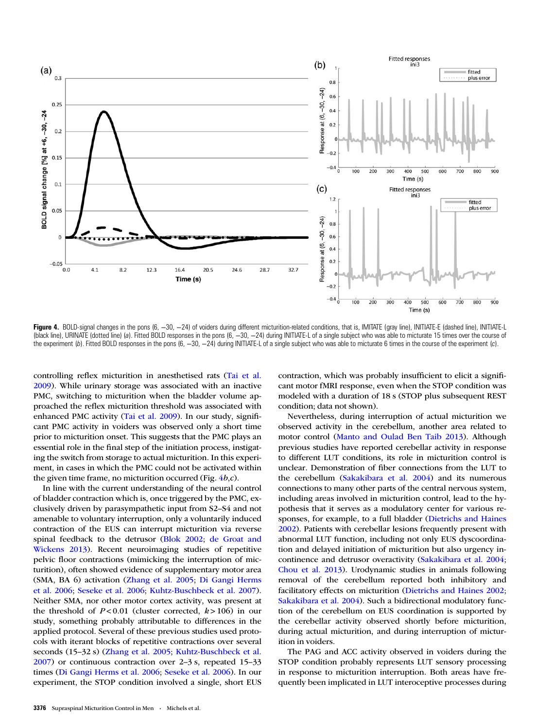<span id="page-7-0"></span>

Figure 4. BOLD-signal changes in the pons (6, -30, -24) of voiders during different micturition-related conditions, that is, IMITATE (gray line), INITIATE-E (dashed line), INITIATE-L (black line), URINATE (dotted line) (a). Fitted BOLD responses in the pons (6, −30, −24) during INITIATE-L of a single subject who was able to micturate 15 times over the course of the experiment (b). Fitted BOLD responses in the pons (6, -30, -24) during INITIATE-L of a single subject who was able to micturate 6 times in the course of the experiment (c).

controlling reflex micturition in anesthetised rats ([Tai et al.](#page-11-0) [2009\)](#page-11-0). While urinary storage was associated with an inactive PMC, switching to micturition when the bladder volume approached the reflex micturition threshold was associated with enhanced PMC activity [\(Tai et al. 2009](#page-11-0)). In our study, significant PMC activity in voiders was observed only a short time prior to micturition onset. This suggests that the PMC plays an essential role in the final step of the initiation process, instigating the switch from storage to actual micturition. In this experiment, in cases in which the PMC could not be activated within the given time frame, no micturition occurred (Fig.  $4b$ , $c$ ).

In line with the current understanding of the neural control of bladder contraction which is, once triggered by the PMC, exclusively driven by parasympathetic input from S2–S4 and not amenable to voluntary interruption, only a voluntarily induced contraction of the EUS can interrupt micturition via reverse spinal feedback to the detrusor [\(Blok 2002;](#page-10-0) [de Groat and](#page-10-0) [Wickens 2013\)](#page-10-0). Recent neuroimaging studies of repetitive pelvic floor contractions (mimicking the interruption of micturition), often showed evidence of supplementary motor area (SMA, BA 6) activation ([Zhang et al. 2005](#page-11-0); [Di Gangi Herms](#page-10-0) [et al. 2006;](#page-10-0) [Seseke et al. 2006](#page-11-0); [Kuhtz-Buschbeck et al. 2007](#page-10-0)). Neither SMA, nor other motor cortex activity, was present at the threshold of  $P < 0.01$  (cluster corrected,  $k > 106$ ) in our study, something probably attributable to differences in the applied protocol. Several of these previous studies used protocols with iterant blocks of repetitive contractions over several seconds (15–32 s) [\(Zhang et al. 2005](#page-11-0); [Kuhtz-Buschbeck et al.](#page-10-0) [2007\)](#page-10-0) or continuous contraction over 2–3 s, repeated 15–33 times [\(Di Gangi Herms et al. 2006;](#page-10-0) [Seseke et al. 2006\)](#page-11-0). In our experiment, the STOP condition involved a single, short EUS

contraction, which was probably insufficient to elicit a significant motor fMRI response, even when the STOP condition was modeled with a duration of 18 s (STOP plus subsequent REST condition; data not shown).

Nevertheless, during interruption of actual micturition we observed activity in the cerebellum, another area related to motor control ([Manto and Oulad Ben Taib 2013](#page-10-0)). Although previous studies have reported cerebellar activity in response to different LUT conditions, its role in micturition control is unclear. Demonstration of fiber connections from the LUT to the cerebellum [\(Sakakibara et al. 2004](#page-11-0)) and its numerous connections to many other parts of the central nervous system, including areas involved in micturition control, lead to the hypothesis that it serves as a modulatory center for various responses, for example, to a full bladder [\(Dietrichs and Haines](#page-10-0) [2002\)](#page-10-0). Patients with cerebellar lesions frequently present with abnormal LUT function, including not only EUS dyscoordination and delayed initiation of micturition but also urgency incontinence and detrusor overactivity ([Sakakibara et al. 2004](#page-11-0); [Chou et al. 2013](#page-10-0)). Urodynamic studies in animals following removal of the cerebellum reported both inhibitory and facilitatory effects on micturition [\(Dietrichs and Haines 2002](#page-10-0); [Sakakibara et al. 2004](#page-11-0)). Such a bidirectional modulatory function of the cerebellum on EUS coordination is supported by the cerebellar activity observed shortly before micturition, during actual micturition, and during interruption of micturition in voiders.

The PAG and ACC activity observed in voiders during the STOP condition probably represents LUT sensory processing in response to micturition interruption. Both areas have frequently been implicated in LUT interoceptive processes during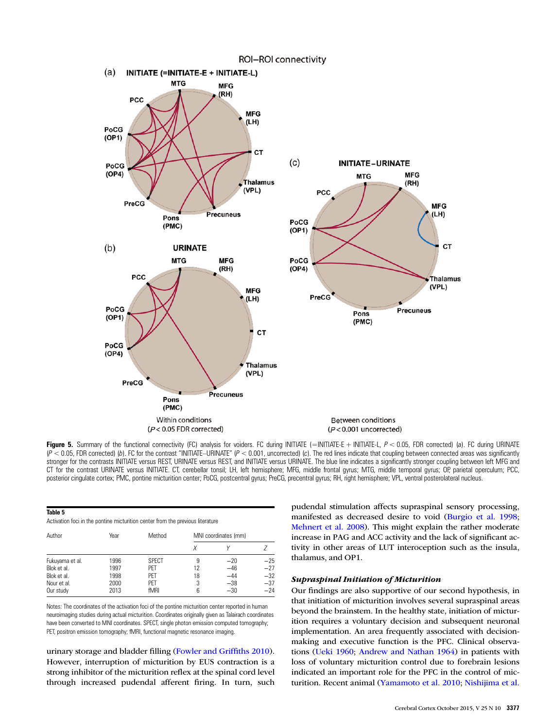<span id="page-8-0"></span>

Figure 5. Summary of the functional connectivity (FC) analysis for voiders. FC during INITIATE (=INITIATE-E + INITIATE-L,  $P < 0.05$ , FDR corrected) (a). FC during URINATE  $(P < 0.05$ , FDR corrected) (b). FC for the contrast "INITIATE-URINATE" (P < 0.001, uncorrected) (c). The red lines indicate that coupling between connected areas was significantly stronger for the contrasts INITIATE versus REST, URINATE versus REST, and INITIATE versus URINATE. The blue line indicates a significantly stronger coupling between left MFG and CT for the contrast URINATE versus INITIATE. CT, cerebellar tonsil; LH, left hemisphere; MFG, middle frontal gyrus; MTG, middle temporal gyrus; OP, parietal operculum; PCC, posterior cingulate cortex; PMC, pontine micturition center; PoCG, postcentral gyrus; PreCG, precentral gyrus; RH, right hemisphere; VPL, ventral posterolateral nucleus.

| Table 5                                                                        |  |
|--------------------------------------------------------------------------------|--|
| Activation foci in the pontine micturition center from the previous literature |  |

| Author          | Year | Method       | MNI coordinates (mm) |       |       |  |  |
|-----------------|------|--------------|----------------------|-------|-------|--|--|
|                 |      |              | X                    |       |       |  |  |
| Fukuyama et al. | 1996 | <b>SPECT</b> | 9                    | $-20$ | $-25$ |  |  |
| Blok et al.     | 1997 | PFT          | 12                   | $-46$ | $-27$ |  |  |
| Blok et al.     | 1998 | PET          | 18                   | $-44$ | $-32$ |  |  |
| Nour et al.     | 2000 | PET          | 3                    | $-38$ | $-37$ |  |  |
| Our study       | 2013 | fMRI         | 6                    | $-30$ | $-24$ |  |  |

Notes: The coordinates of the activation foci of the pontine micturition center reported in human neuroimaging studies during actual micturition. Coordinates originally given as Talairach coordinates have been converted to MNI coordinates. SPECT, single photon emission computed tomography; PET, positron emission tomography; fMRI, functional magnetic resonance imaging.

urinary storage and bladder filling [\(Fowler and Grif](#page-10-0)fiths 2010). However, interruption of micturition by EUS contraction is a strong inhibitor of the micturition reflex at the spinal cord level through increased pudendal afferent firing. In turn, such

pudendal stimulation affects supraspinal sensory processing, manifested as decreased desire to void [\(Burgio et al. 1998;](#page-10-0) [Mehnert et al. 2008](#page-10-0)). This might explain the rather moderate increase in PAG and ACC activity and the lack of significant activity in other areas of LUT interoception such as the insula, thalamus, and OP1.

# Supraspinal Initiation of Micturition

Our findings are also supportive of our second hypothesis, in that initiation of micturition involves several supraspinal areas beyond the brainstem. In the healthy state, initiation of micturition requires a voluntary decision and subsequent neuronal implementation. An area frequently associated with decisionmaking and executive function is the PFC. Clinical observations ([Ueki 1960;](#page-11-0) [Andrew and Nathan 1964](#page-10-0)) in patients with loss of voluntary micturition control due to forebrain lesions indicated an important role for the PFC in the control of micturition. Recent animal [\(Yamamoto et al. 2010](#page-11-0); [Nishijima et al.](#page-10-0)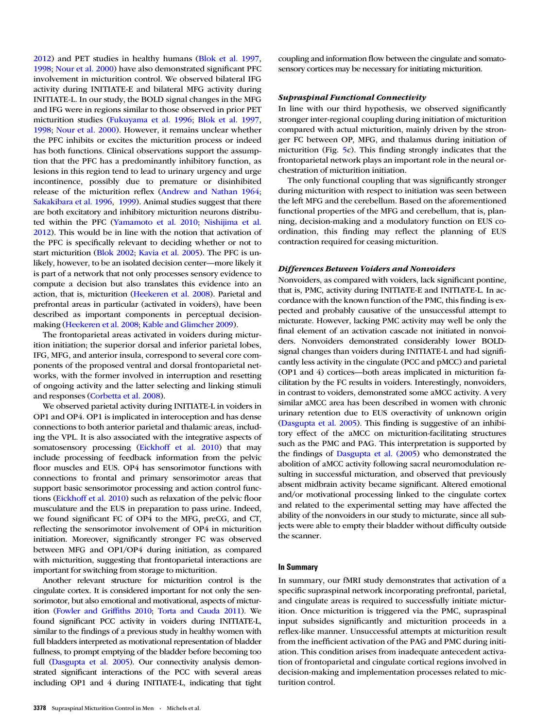[2012\)](#page-10-0) and PET studies in healthy humans [\(Blok et al. 1997](#page-10-0), [1998;](#page-10-0) [Nour et al. 2000](#page-10-0)) have also demonstrated significant PFC involvement in micturition control. We observed bilateral IFG activity during INITIATE-E and bilateral MFG activity during INITIATE-L. In our study, the BOLD signal changes in the MFG and IFG were in regions similar to those observed in prior PET micturition studies ([Fukuyama et al. 1996](#page-10-0); [Blok et al. 1997](#page-10-0), [1998;](#page-10-0) [Nour et al. 2000\)](#page-10-0). However, it remains unclear whether the PFC inhibits or excites the micturition process or indeed has both functions. Clinical observations support the assumption that the PFC has a predominantly inhibitory function, as lesions in this region tend to lead to urinary urgency and urge incontinence, possibly due to premature or disinhibited release of the micturition reflex [\(Andrew and Nathan 1964](#page-10-0); [Sakakibara et al. 1996](#page-11-0), [1999](#page-11-0)). Animal studies suggest that there are both excitatory and inhibitory micturition neurons distributed within the PFC ([Yamamoto et al. 2010](#page-11-0); [Nishijima et al.](#page-10-0) [2012\)](#page-10-0). This would be in line with the notion that activation of the PFC is specifically relevant to deciding whether or not to start micturition ([Blok 2002;](#page-10-0) [Kavia et al. 2005](#page-10-0)). The PFC is unlikely, however, to be an isolated decision center—more likely it is part of a network that not only processes sensory evidence to compute a decision but also translates this evidence into an action, that is, micturition [\(Heekeren et al. 2008](#page-10-0)). Parietal and prefrontal areas in particular (activated in voiders), have been described as important components in perceptual decisionmaking [\(Heekeren et al. 2008;](#page-10-0) [Kable and Glimcher 2009](#page-10-0)).

The frontoparietal areas activated in voiders during micturition initiation; the superior dorsal and inferior parietal lobes, IFG, MFG, and anterior insula, correspond to several core components of the proposed ventral and dorsal frontoparietal networks, with the former involved in interruption and resetting of ongoing activity and the latter selecting and linking stimuli and responses ([Corbetta et al. 2008](#page-10-0)).

We observed parietal activity during INITIATE-L in voiders in OP1 and OP4. OP1 is implicated in interoception and has dense connections to both anterior parietal and thalamic areas, including the VPL. It is also associated with the integrative aspects of somatosensory processing ([Eickhoff et al. 2010\)](#page-10-0) that may include processing of feedback information from the pelvic floor muscles and EUS. OP4 has sensorimotor functions with connections to frontal and primary sensorimotor areas that support basic sensorimotor processing and action control functions [\(Eickhoff et al. 2010\)](#page-10-0) such as relaxation of the pelvic floor musculature and the EUS in preparation to pass urine. Indeed, we found significant FC of OP4 to the MFG, preCG, and CT, reflecting the sensorimotor involvement of OP4 in micturition initiation. Moreover, significantly stronger FC was observed between MFG and OP1/OP4 during initiation, as compared with micturition, suggesting that frontoparietal interactions are important for switching from storage to micturition.

Another relevant structure for micturition control is the cingulate cortex. It is considered important for not only the sensorimotor, but also emotional and motivational, aspects of micturition [\(Fowler and Grif](#page-10-0)fiths 2010; [Torta and Cauda 2011\)](#page-11-0). We found significant PCC activity in voiders during INITIATE-L, similar to the findings of a previous study in healthy women with full bladders interpreted as motivational representation of bladder fullness, to prompt emptying of the bladder before becoming too full ([Dasgupta et al. 2005](#page-10-0)). Our connectivity analysis demonstrated significant interactions of the PCC with several areas including OP1 and 4 during INITIATE-L, indicating that tight

3378 Supraspinal Micturition Control in Men · Michels et al.

coupling and information flow between the cingulate and somatosensory cortices may be necessary for initiating micturition.

# Supraspinal Functional Connectivity

In line with our third hypothesis, we observed significantly stronger inter-regional coupling during initiation of micturition compared with actual micturition, mainly driven by the stronger FC between OP, MFG, and thalamus during initiation of micturition (Fig. [5](#page-8-0)c). This finding strongly indicates that the frontoparietal network plays an important role in the neural orchestration of micturition initiation.

The only functional coupling that was significantly stronger during micturition with respect to initiation was seen between the left MFG and the cerebellum. Based on the aforementioned functional properties of the MFG and cerebellum, that is, planning, decision-making and a modulatory function on EUS coordination, this finding may reflect the planning of EUS contraction required for ceasing micturition.

#### Differences Between Voiders and Nonvoiders

Nonvoiders, as compared with voiders, lack significant pontine, that is, PMC, activity during INITIATE-E and INITIATE-L. In accordance with the known function of the PMC, this finding is expected and probably causative of the unsuccessful attempt to micturate. However, lacking PMC activity may well be only the final element of an activation cascade not initiated in nonvoiders. Nonvoiders demonstrated considerably lower BOLDsignal changes than voiders during INITIATE-L and had significantly less activity in the cingulate (PCC and pMCC) and parietal (OP1 and 4) cortices—both areas implicated in micturition facilitation by the FC results in voiders. Interestingly, nonvoiders, in contrast to voiders, demonstrated some aMCC activity. A very similar aMCC area has been described in women with chronic urinary retention due to EUS overactivity of unknown origin [\(Dasgupta et al. 2005](#page-10-0)). This finding is suggestive of an inhibitory effect of the aMCC on micturition-facilitating structures such as the PMC and PAG. This interpretation is supported by the findings of [Dasgupta et al. \(2005](#page-10-0)) who demonstrated the abolition of aMCC activity following sacral neuromodulation resulting in successful micturation, and observed that previously absent midbrain activity became significant. Altered emotional and/or motivational processing linked to the cingulate cortex and related to the experimental setting may have affected the ability of the nonvoiders in our study to micturate, since all subjects were able to empty their bladder without difficulty outside the scanner.

#### In Summary

In summary, our fMRI study demonstrates that activation of a specific supraspinal network incorporating prefrontal, parietal, and cingulate areas is required to successfully initiate micturition. Once micturition is triggered via the PMC, supraspinal input subsides significantly and micturition proceeds in a reflex-like manner. Unsuccessful attempts at micturition result from the inefficient activation of the PAG and PMC during initiation. This condition arises from inadequate antecedent activation of frontoparietal and cingulate cortical regions involved in decision-making and implementation processes related to micturition control.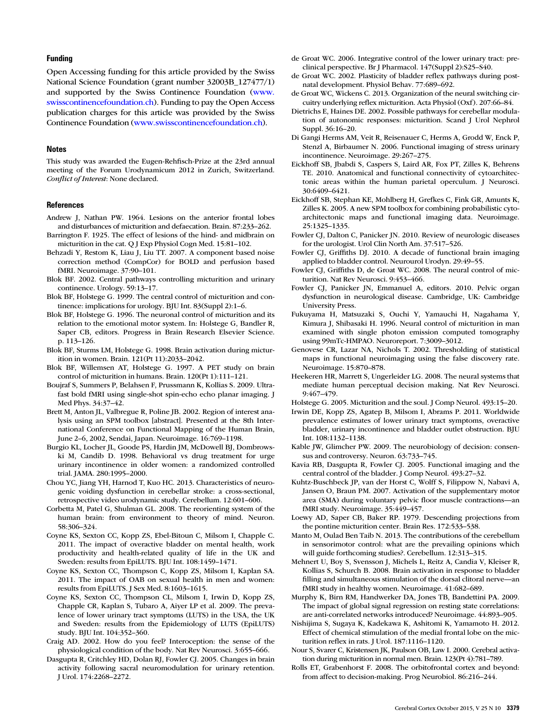### <span id="page-10-0"></span>Funding

Open Accessing funding for this article provided by the Swiss National Science Foundation (grant number 32003B\_127477/1) and supported by the Swiss Continence Foundation ([www.](www.swisscontinencefoundation.ch) [swisscontinencefoundation.ch\)](www.swisscontinencefoundation.ch). Funding to pay the Open Access publication charges for this article was provided by the Swiss Continence Foundation ([www.swisscontinencefoundation.ch\)](www.swisscontinencefoundation.ch).

#### **Notes**

This study was awarded the Eugen-Rehfisch-Prize at the 23rd annual meeting of the Forum Urodynamicum 2012 in Zurich, Switzerland. Conflict of Interest: None declared.

#### **References**

- Andrew J, Nathan PW. 1964. Lesions on the anterior frontal lobes and disturbances of micturition and defaecation. Brain. 87:233–262.
- Barrington F. 1925. The effect of lesions of the hind- and midbrain on micturition in the cat. Q J Exp Physiol Cogn Med. 15:81–102.
- Behzadi Y, Restom K, Liau J, Liu TT. 2007. A component based noise correction method (CompCor) for BOLD and perfusion based fMRI. Neuroimage. 37:90–101.
- Blok BF. 2002. Central pathways controlling micturition and urinary continence. Urology. 59:13–17.
- Blok BF, Holstege G. 1999. The central control of micturition and continence: implications for urology. BJU Int. 83(Suppl 2):1–6.
- Blok BF, Holstege G. 1996. The neuronal control of micturition and its relation to the emotional motor system. In: Holstege G, Bandler R, Saper CB, editors. Progress in Brain Research Elsevier Science. p. 113–126.
- Blok BF, Sturms LM, Holstege G. 1998. Brain activation during micturition in women. Brain. 121(Pt 11):2033–2042.
- Blok BF, Willemsen AT, Holstege G. 1997. A PET study on brain control of micturition in humans. Brain. 120(Pt 1):111–121.
- Boujraf S, Summers P, Belahsen F, Prussmann K, Kollias S. 2009. Ultrafast bold fMRI using single-shot spin-echo echo planar imaging. J Med Phys. 34:37–42.
- Brett M, Anton JL, Valbregue R, Poline JB. 2002. Region of interest analysis using an SPM toolbox [abstract]. Presented at the 8th International Conference on Functional Mapping of the Human Brain, June 2–6, 2002, Sendai, Japan. Neuroimage. 16:769–1198.
- Burgio KL, Locher JL, Goode PS, Hardin JM, McDowell BJ, Dombrowski M, Candib D. 1998. Behavioral vs drug treatment for urge urinary incontinence in older women: a randomized controlled trial. JAMA. 280:1995–2000.
- Chou YC, Jiang YH, Harnod T, Kuo HC. 2013. Characteristics of neurogenic voiding dysfunction in cerebellar stroke: a cross-sectional, retrospective video urodynamic study. Cerebellum. 12:601–606.
- Corbetta M, Patel G, Shulman GL. 2008. The reorienting system of the human brain: from environment to theory of mind. Neuron. 58:306–324.
- Coyne KS, Sexton CC, Kopp ZS, Ebel-Bitoun C, Milsom I, Chapple C. 2011. The impact of overactive bladder on mental health, work productivity and health-related quality of life in the UK and Sweden: results from EpiLUTS. BJU Int. 108:1459–1471.
- Coyne KS, Sexton CC, Thompson C, Kopp ZS, Milsom I, Kaplan SA. 2011. The impact of OAB on sexual health in men and women: results from EpiLUTS. J Sex Med. 8:1603–1615.
- Coyne KS, Sexton CC, Thompson CL, Milsom I, Irwin D, Kopp ZS, Chapple CR, Kaplan S, Tubaro A, Aiyer LP et al. 2009. The prevalence of lower urinary tract symptoms (LUTS) in the USA, the UK and Sweden: results from the Epidemiology of LUTS (EpiLUTS) study. BJU Int. 104:352–360.
- Craig AD. 2002. How do you feel? Interoception: the sense of the physiological condition of the body. Nat Rev Neurosci. 3:655–666.
- Dasgupta R, Critchley HD, Dolan RJ, Fowler CJ. 2005. Changes in brain activity following sacral neuromodulation for urinary retention. J Urol. 174:2268–2272.
- de Groat WC. 2006. Integrative control of the lower urinary tract: preclinical perspective. Br J Pharmacol. 147(Suppl 2):S25–S40.
- de Groat WC. 2002. Plasticity of bladder reflex pathways during postnatal development. Physiol Behav. 77:689–692.
- de Groat WC, Wickens C. 2013. Organization of the neural switching circuitry underlying reflex micturition. Acta Physiol (Oxf). 207:66–84.
- Dietrichs E, Haines DE. 2002. Possible pathways for cerebellar modulation of autonomic responses: micturition. Scand J Urol Nephrol Suppl. 36:16–20.
- Di Gangi Herms AM, Veit R, Reisenauer C, Herms A, Grodd W, Enck P, Stenzl A, Birbaumer N. 2006. Functional imaging of stress urinary incontinence. Neuroimage. 29:267–275.
- Eickhoff SB, Jbabdi S, Caspers S, Laird AR, Fox PT, Zilles K, Behrens TE. 2010. Anatomical and functional connectivity of cytoarchitectonic areas within the human parietal operculum. J Neurosci. 30:6409–6421.
- Eickhoff SB, Stephan KE, Mohlberg H, Grefkes C, Fink GR, Amunts K, Zilles K. 2005. A new SPM toolbox for combining probabilistic cytoarchitectonic maps and functional imaging data. Neuroimage. 25:1325–1335.
- Fowler CJ, Dalton C, Panicker JN. 2010. Review of neurologic diseases for the urologist. Urol Clin North Am. 37:517–526.
- Fowler CJ, Griffiths DJ. 2010. A decade of functional brain imaging applied to bladder control. Neurourol Urodyn. 29:49–55.
- Fowler CJ, Griffiths D, de Groat WC. 2008. The neural control of micturition. Nat Rev Neurosci. 9:453–466.
- Fowler CJ, Panicker JN, Emmanuel A, editors. 2010. Pelvic organ dysfunction in neurological disease. Cambridge, UK: Cambridge University Press.
- Fukuyama H, Matsuzaki S, Ouchi Y, Yamauchi H, Nagahama Y, Kimura J, Shibasaki H. 1996. Neural control of micturition in man examined with single photon emission computed tomography using 99mTc-HMPAO. Neuroreport. 7:3009–3012.
- Genovese CR, Lazar NA, Nichols T. 2002. Thresholding of statistical maps in functional neuroimaging using the false discovery rate. Neuroimage. 15:870–878.
- Heekeren HR, Marrett S, Ungerleider LG. 2008. The neural systems that mediate human perceptual decision making. Nat Rev Neurosci. 9:467–479.

Holstege G. 2005. Micturition and the soul. J Comp Neurol. 493:15–20.

- Irwin DE, Kopp ZS, Agatep B, Milsom I, Abrams P. 2011. Worldwide prevalence estimates of lower urinary tract symptoms, overactive bladder, urinary incontinence and bladder outlet obstruction. BJU Int. 108:1132–1138.
- Kable JW, Glimcher PW. 2009. The neurobiology of decision: consensus and controversy. Neuron. 63:733–745.
- Kavia RB, Dasgupta R, Fowler CJ. 2005. Functional imaging and the central control of the bladder. J Comp Neurol. 493:27–32.
- Kuhtz-Buschbeck JP, van der Horst C, Wolff S, Filippow N, Nabavi A, Jansen O, Braun PM. 2007. Activation of the supplementary motor area (SMA) during voluntary pelvic floor muscle contractions—an fMRI study. Neuroimage. 35:449–457.
- Loewy AD, Saper CB, Baker RP. 1979. Descending projections from the pontine micturition center. Brain Res. 172:533–538.
- Manto M, Oulad Ben Taib N. 2013. The contributions of the cerebellum in sensorimotor control: what are the prevailing opinions which will guide forthcoming studies?. Cerebellum. 12:313–315.
- Mehnert U, Boy S, Svensson J, Michels L, Reitz A, Candia V, Kleiser R, Kollias S, Schurch B. 2008. Brain activation in response to bladder filling and simultaneous stimulation of the dorsal clitoral nerve—an fMRI study in healthy women. Neuroimage. 41:682–689.
- Murphy K, Birn RM, Handwerker DA, Jones TB, Bandettini PA. 2009. The impact of global signal regression on resting state correlations: are anti-correlated networks introduced? Neuroimage. 44:893–905.
- Nishijima S, Sugaya K, Kadekawa K, Ashitomi K, Yamamoto H. 2012. Effect of chemical stimulation of the medial frontal lobe on the micturition reflex in rats. J Urol. 187:1116–1120.
- Nour S, Svarer C, Kristensen JK, Paulson OB, Law I. 2000. Cerebral activation during micturition in normal men. Brain. 123(Pt 4):781–789.
- Rolls ET, Grabenhorst F. 2008. The orbitofrontal cortex and beyond: from affect to decision-making. Prog Neurobiol. 86:216–244.